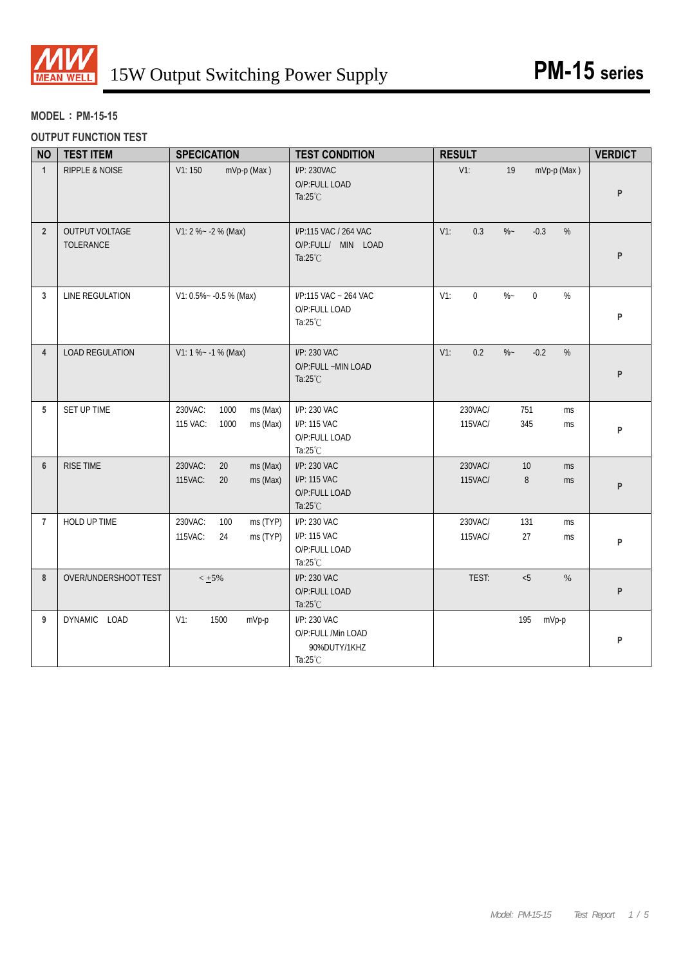

#### **MODEL**:**PM-15-15**

#### **OUTPUT FUNCTION TEST**

| <b>NO</b>      | <b>TEST ITEM</b>            | <b>SPECICATION</b>                                          | <b>TEST CONDITION</b>                                               | <b>RESULT</b>                                       | <b>VERDICT</b> |
|----------------|-----------------------------|-------------------------------------------------------------|---------------------------------------------------------------------|-----------------------------------------------------|----------------|
| $\overline{1}$ | <b>RIPPLE &amp; NOISE</b>   | V1:150<br>mVp-p (Max)                                       | I/P: 230VAC<br>O/P:FULL LOAD<br>Ta: $25^{\circ}$ C                  | $V1$ :<br>mVp-p (Max)<br>19                         | P              |
| $\overline{2}$ | OUTPUT VOLTAGE<br>TOLERANCE | $V1: 2 % -2 % (Max)$                                        | I/P:115 VAC / 264 VAC<br>O/P:FULL/ MIN LOAD<br>Ta: $25^{\circ}$ C   | $V1$ :<br>0.3<br>$\%$ ~<br>$-0.3$<br>%              | P              |
| 3              | LINE REGULATION             | $V1: 0.5\% - 0.5\%$ (Max)                                   | I/P:115 VAC ~ 264 VAC<br>O/P:FULL LOAD<br>Ta:25°C                   | $\%$ ~<br>$\Omega$<br>$V1$ :<br>$\overline{0}$<br>% | P              |
| $\overline{4}$ | <b>LOAD REGULATION</b>      | $V1: 1 % ~ -1 % (Max)$                                      | I/P: 230 VAC<br>O/P:FULL ~MIN LOAD<br>Ta: $25^{\circ}$ C            | $V1$ :<br>0.2<br>$\%$ –<br>$-0.2$<br>$\%$           | P              |
| 5              | SET UP TIME                 | 230VAC:<br>1000<br>ms (Max)<br>115 VAC:<br>1000<br>ms (Max) | I/P: 230 VAC<br>I/P: 115 VAC<br>O/P:FULL LOAD<br>Ta: $25^{\circ}$ C | 230VAC/<br>751<br>ms<br>115VAC/<br>345<br>ms        | P              |
| $6\phantom{1}$ | <b>RISE TIME</b>            | 230VAC:<br>20<br>ms (Max)<br>115VAC:<br>20<br>ms (Max)      | I/P: 230 VAC<br>I/P: 115 VAC<br>O/P:FULL LOAD<br>Ta:25°C            | 230VAC/<br>10<br>ms<br>115VAC/<br>8<br><b>ms</b>    | P              |
| $\overline{7}$ | HOLD UP TIME                | 230VAC:<br>100<br>ms (TYP)<br>115VAC:<br>24<br>ms (TYP)     | I/P: 230 VAC<br>I/P: 115 VAC<br>O/P:FULL LOAD<br>Ta:25°C            | 230VAC/<br>131<br>ms<br>115VAC/<br>27<br>ms         | P              |
| 8              | OVER/UNDERSHOOT TEST        | $< +5%$                                                     | I/P: 230 VAC<br>O/P:FULL LOAD<br>Ta: $25^{\circ}$ C                 | TEST:<br>< 5<br>$\%$                                | P              |
| 9              | DYNAMIC LOAD                | $V1$ :<br>1500<br>mVp-p                                     | I/P: 230 VAC<br>O/P:FULL /Min LOAD<br>90%DUTY/1KHZ<br>Ta:25°C       | 195<br>mVp-p                                        | P              |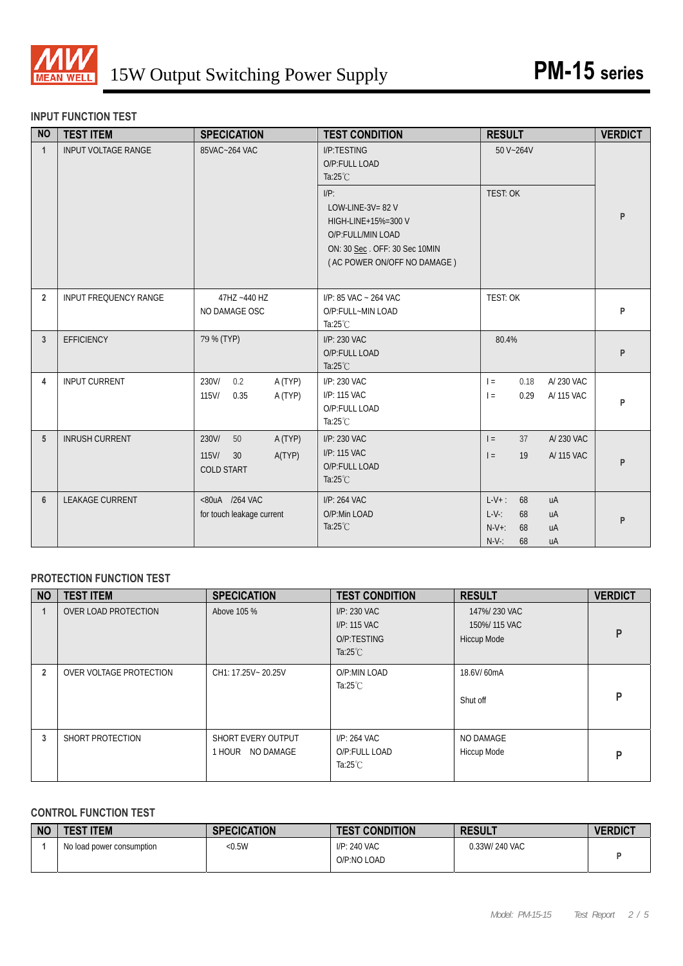

#### **INPUT FUNCTION TEST**

| <b>NO</b>      | <b>TEST ITEM</b>             | <b>SPECICATION</b>                                                      | <b>TEST CONDITION</b>                                                                                                                      | <b>RESULT</b>                                                                               | <b>VERDICT</b> |
|----------------|------------------------------|-------------------------------------------------------------------------|--------------------------------------------------------------------------------------------------------------------------------------------|---------------------------------------------------------------------------------------------|----------------|
| $\mathbf{1}$   | <b>INPUT VOLTAGE RANGE</b>   | 85VAC~264 VAC                                                           | I/P:TESTING<br>O/P:FULL LOAD<br>Ta: $25^{\circ}$ C                                                                                         | 50 V~264V                                                                                   |                |
|                |                              |                                                                         | $I/P$ :<br>LOW-LINE-3V= $82$ V<br>HIGH-LINE+15%=300 V<br>O/P:FULL/MIN LOAD<br>ON: 30 Sec. OFF: 30 Sec 10MIN<br>(AC POWER ON/OFF NO DAMAGE) | <b>TEST: OK</b>                                                                             | P              |
| $\overline{2}$ | <b>INPUT FREQUENCY RANGE</b> | 47HZ ~440 HZ<br>NO DAMAGE OSC                                           | $I/P$ : 85 VAC ~ 264 VAC<br>O/P:FULL~MIN LOAD<br>Ta: $25^{\circ}$ C                                                                        | <b>TEST: OK</b>                                                                             | P              |
| 3              | <b>EFFICIENCY</b>            | 79 % (TYP)                                                              | I/P: 230 VAC<br>O/P:FULL LOAD<br>Ta: $25^{\circ}$ C                                                                                        | 80.4%                                                                                       | P              |
| 4              | <b>INPUT CURRENT</b>         | 230V/<br>0.2<br>A (TYP)<br>115V/<br>0.35<br>A (TYP)                     | I/P: 230 VAC<br>I/P: 115 VAC<br>O/P:FULL LOAD<br>Ta: $25^{\circ}$ C                                                                        | A/ 230 VAC<br>$=$<br>0.18<br>0.29<br>A/ 115 VAC<br>$\vert$ =                                | P              |
| 5              | <b>INRUSH CURRENT</b>        | 230V/<br>50<br>A (TYP)<br>$115$ V/<br>A(TYP)<br>30<br><b>COLD START</b> | I/P: 230 VAC<br>I/P: 115 VAC<br>O/P:FULL LOAD<br>Ta: $25^{\circ}$ C                                                                        | 37<br>A/230 VAC<br>$=$<br>19<br>A/ 115 VAC<br>$=$                                           | P              |
| 6              | <b>LEAKAGE CURRENT</b>       | <80uA /264 VAC<br>for touch leakage current                             | I/P: 264 VAC<br>O/P:Min LOAD<br>Ta: $25^{\circ}$ C                                                                                         | $L-V+$ :<br>68<br>uA<br>$L-V$ :<br>68<br>uA<br>$N-V+$ :<br>68<br>uA<br>$N-V$ -:<br>68<br>uA | P              |

### **PROTECTION FUNCTION TEST**

| <b>NO</b>               | <b>TEST ITEM</b>        | <b>SPECICATION</b>                        | <b>TEST CONDITION</b>                                             | <b>RESULT</b>                                      | <b>VERDICT</b> |
|-------------------------|-------------------------|-------------------------------------------|-------------------------------------------------------------------|----------------------------------------------------|----------------|
|                         | OVER LOAD PROTECTION    | Above 105 %                               | I/P: 230 VAC<br>I/P: 115 VAC<br>O/P:TESTING<br>Ta: $25^{\circ}$ C | 147%/230 VAC<br>150%/115 VAC<br><b>Hiccup Mode</b> | P              |
| $\overline{\mathbf{2}}$ | OVER VOLTAGE PROTECTION | CH1: 17.25V ~ 20.25V                      | O/P:MIN LOAD<br>Ta: $25^{\circ}$ C                                | 18.6V/60mA<br>Shut off                             | P              |
| 3                       | SHORT PROTECTION        | SHORT EVERY OUTPUT<br>NO DAMAGE<br>1 HOUR | I/P: 264 VAC<br>O/P:FULL LOAD<br>Ta: $25^{\circ}$ C               | NO DAMAGE<br>Hiccup Mode                           | P              |

# **CONTROL FUNCTION TEST**

| <b>NO</b> | <b>TEST ITEM</b>          | <b>SPECICATION</b> | <b>TEST CONDITION</b>       | <b>RESULT</b> | <b>VERDICT</b> |
|-----------|---------------------------|--------------------|-----------------------------|---------------|----------------|
|           | No load power consumption | < 0.5W             | I/P: 240 VAC<br>O/P:NO LOAD | 0.33W/240 VAC |                |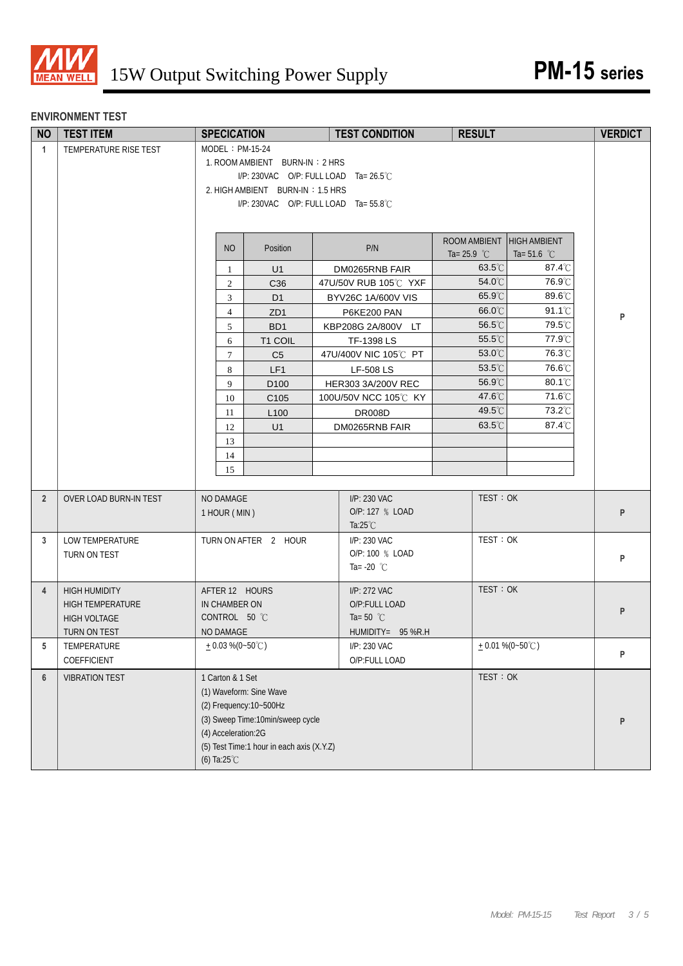

#### **ENVIRONMENT TEST**

| <b>NO</b>      | <b>TEST ITEM</b>       | <b>SPECICATION</b>             |                                           |  | <b>TEST CONDITION</b>           | <b>RESULT</b>         |                       | <b>VERDICT</b> |
|----------------|------------------------|--------------------------------|-------------------------------------------|--|---------------------------------|-----------------------|-----------------------|----------------|
| $\mathbf{1}$   | TEMPERATURE RISE TEST  | MODEL: PM-15-24                |                                           |  |                                 |                       |                       |                |
|                |                        | 1. ROOM AMBIENT BURN-IN: 2 HRS |                                           |  |                                 |                       |                       |                |
|                |                        |                                | I/P: 230VAC O/P: FULL LOAD Ta= 26.5°C     |  |                                 |                       |                       |                |
|                |                        |                                | 2. HIGH AMBIENT BURN-IN: 1.5 HRS          |  |                                 |                       |                       |                |
|                |                        |                                | I/P: 230VAC O/P: FULL LOAD Ta= 55.8°C     |  |                                 |                       |                       |                |
|                |                        |                                |                                           |  |                                 |                       |                       |                |
|                |                        |                                |                                           |  |                                 | ROOM AMBIENT          | <b>HIGH AMBIENT</b>   |                |
|                |                        | N <sub>O</sub>                 | Position                                  |  | P/N                             | Ta= 25.9 $^{\circ}$ C | Ta= 51.6 $^{\circ}$ C |                |
|                |                        | 1                              | U1                                        |  | DM0265RNB FAIR                  | 63.5°C                | 87.4°C                |                |
|                |                        | $\overline{c}$                 | C36                                       |  | 47U/50V RUB 105°C YXF           | 54.0°C                | 76.9°C                |                |
|                |                        | $\mathfrak{Z}$                 | D <sub>1</sub>                            |  | BYV26C 1A/600V VIS              | 65.9°C                | 89.6°C                |                |
|                |                        | $\overline{4}$                 | ZD <sub>1</sub>                           |  | P6KE200 PAN                     | 66.0°C                | $91.1^{\circ}$ C      | P              |
|                |                        | 5                              | BD <sub>1</sub>                           |  | KBP208G 2A/800V LT              | 56.5°C                | 79.5°C                |                |
|                |                        | 6                              | T1 COIL                                   |  | TF-1398 LS                      | 55.5°C                | 77.9°C                |                |
|                |                        | $\tau$                         | C <sub>5</sub>                            |  | 47U/400V NIC 105℃ PT            | 53.0°C                | 76.3°C                |                |
|                |                        | 8                              | LF1                                       |  | <b>LF-508 LS</b>                | 53.5°C                | 76.6°C                |                |
|                |                        | 9                              | D <sub>100</sub>                          |  | HER303 3A/200V REC              | 56.9°C<br>47.6°C      | 80.1°C<br>71.6°C      |                |
|                |                        | 10                             | C <sub>105</sub>                          |  | 100U/50V NCC 105℃ KY            | 49.5°C                | 73.2°C                |                |
|                |                        | 11<br>12                       | L <sub>100</sub>                          |  | <b>DR008D</b><br>DM0265RNB FAIR | 63.5°C                | 87.4°C                |                |
|                |                        | 13                             | U1                                        |  |                                 |                       |                       |                |
|                |                        | 14                             |                                           |  |                                 |                       |                       |                |
|                |                        | 15                             |                                           |  |                                 |                       |                       |                |
|                |                        |                                |                                           |  |                                 |                       |                       |                |
| $\overline{2}$ | OVER LOAD BURN-IN TEST | NO DAMAGE                      |                                           |  | I/P: 230 VAC                    | TEST: OK              |                       |                |
|                |                        | 1 HOUR (MIN)                   |                                           |  | O/P: 127 % LOAD                 |                       |                       | P              |
|                |                        |                                |                                           |  | Ta: $25^{\circ}$ C              |                       |                       |                |
| 3              | LOW TEMPERATURE        |                                | TURN ON AFTER 2 HOUR                      |  | I/P: 230 VAC                    | TEST: OK              |                       |                |
|                | TURN ON TEST           |                                |                                           |  | O/P: 100 % LOAD                 |                       |                       | P              |
|                |                        |                                |                                           |  | Ta= -20 $^{\circ}$ C            |                       |                       |                |
| $\overline{4}$ | <b>HIGH HUMIDITY</b>   | AFTER 12 HOURS                 |                                           |  | I/P: 272 VAC                    | TEST: OK              |                       |                |
|                | HIGH TEMPERATURE       | IN CHAMBER ON                  |                                           |  | O/P:FULL LOAD                   |                       |                       |                |
|                | <b>HIGH VOLTAGE</b>    | CONTROL 50 °C                  |                                           |  | Ta=50 $^{\circ}$ C              |                       |                       | P              |
|                | TURN ON TEST           | NO DAMAGE                      |                                           |  | HUMIDITY= 95 %R.H               |                       |                       |                |
| 5              | TEMPERATURE            | $+0.03\%$ (0~50°C)             |                                           |  | I/P: 230 VAC                    |                       | $+0.01\%$ (0~50°C)    | P              |
|                | COEFFICIENT            |                                |                                           |  | O/P:FULL LOAD                   |                       |                       |                |
| $6\phantom{1}$ | <b>VIBRATION TEST</b>  | 1 Carton & 1 Set               |                                           |  |                                 | TEST: OK              |                       |                |
|                |                        |                                | (1) Waveform: Sine Wave                   |  |                                 |                       |                       |                |
|                |                        |                                | (2) Frequency: 10~500Hz                   |  |                                 |                       |                       |                |
|                |                        |                                | (3) Sweep Time:10min/sweep cycle          |  |                                 |                       |                       | P              |
|                |                        | (4) Acceleration:2G            | (5) Test Time:1 hour in each axis (X.Y.Z) |  |                                 |                       |                       |                |
|                |                        | (6) Ta:25°C                    |                                           |  |                                 |                       |                       |                |
|                |                        |                                |                                           |  |                                 |                       |                       |                |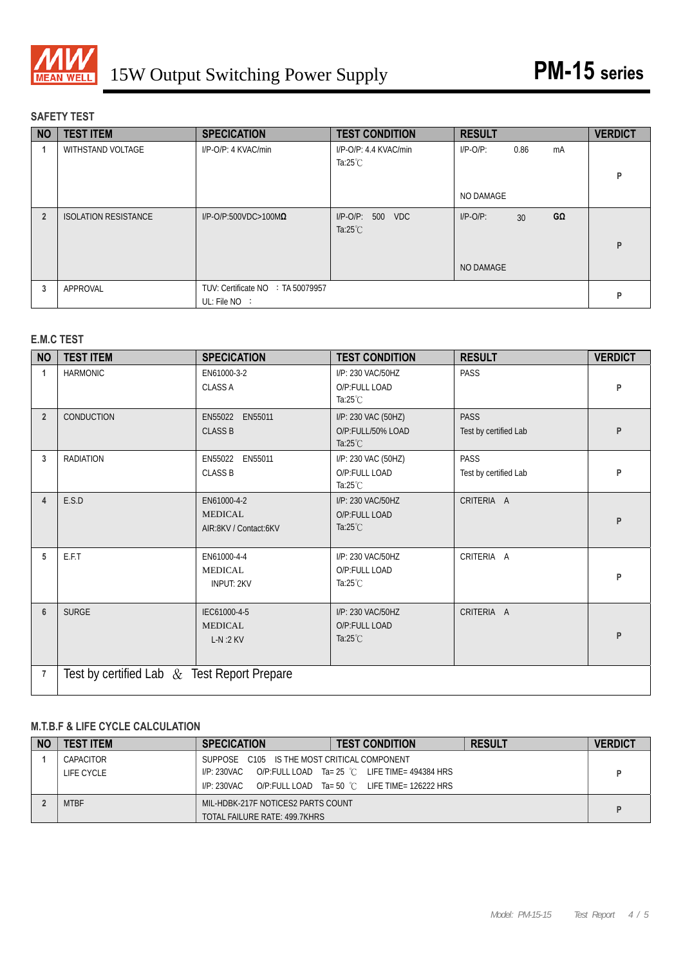

## **SAFETY TEST**

| <b>NO</b>      | <b>TEST ITEM</b>            | <b>SPECICATION</b>                                   | <b>TEST CONDITION</b>                                  | <b>RESULT</b> |                 |    | <b>VERDICT</b> |
|----------------|-----------------------------|------------------------------------------------------|--------------------------------------------------------|---------------|-----------------|----|----------------|
|                | WITHSTAND VOLTAGE           | I/P-O/P: 4 KVAC/min                                  | I/P-O/P: 4.4 KVAC/min<br>Ta:25 $°C$                    | $I/P-O/P$ :   | 0.86            | mA | P              |
|                |                             |                                                      |                                                        | NO DAMAGE     |                 |    |                |
| $\overline{2}$ | <b>ISOLATION RESISTANCE</b> | $I/P$ -O/P:500VDC>100M $\Omega$                      | $I/P$ -O/P:<br><b>VDC</b><br>500<br>Ta: $25^{\circ}$ C | $I/P-O/P$ :   | 30 <sup>°</sup> | GΩ | P              |
|                |                             |                                                      |                                                        | NO DAMAGE     |                 |    |                |
| 3              | APPROVAL                    | TUV: Certificate NO : TA 50079957<br>UL: File $NO$ : |                                                        |               |                 |    | P              |

#### **E.M.C TEST**

| <b>NO</b>      | <b>TEST ITEM</b>                              | <b>SPECICATION</b>                                     | <b>TEST CONDITION</b>                                          | <b>RESULT</b>                        | <b>VERDICT</b> |
|----------------|-----------------------------------------------|--------------------------------------------------------|----------------------------------------------------------------|--------------------------------------|----------------|
|                | <b>HARMONIC</b>                               | EN61000-3-2<br><b>CLASS A</b>                          | I/P: 230 VAC/50HZ<br>O/P:FULL LOAD<br>Ta: $25^{\circ}$ C       | PASS                                 | P              |
| $\overline{2}$ | CONDUCTION                                    | EN55022 EN55011<br><b>CLASS B</b>                      | I/P: 230 VAC (50HZ)<br>O/P:FULL/50% LOAD<br>Ta: $25^{\circ}$ C | <b>PASS</b><br>Test by certified Lab | P              |
| 3              | <b>RADIATION</b>                              | EN55022 EN55011<br><b>CLASS B</b>                      | I/P: 230 VAC (50HZ)<br>O/P:FULL LOAD<br>Ta: $25^{\circ}$ C     | PASS<br>Test by certified Lab        | P              |
| 4              | E.S.D                                         | EN61000-4-2<br><b>MEDICAL</b><br>AIR:8KV / Contact:6KV | I/P: 230 VAC/50HZ<br>O/P:FULL LOAD<br>Ta: $25^{\circ}$ C       | CRITERIA A                           | P              |
| 5              | E.F.T                                         | EN61000-4-4<br><b>MEDICAL</b><br><b>INPUT: 2KV</b>     | I/P: 230 VAC/50HZ<br>O/P:FULL LOAD<br>Ta: $25^{\circ}$ C       | CRITERIA A                           | P              |
| 6              | <b>SURGE</b>                                  | IEC61000-4-5<br><b>MEDICAL</b><br>$L-N:2$ KV           | I/P: 230 VAC/50HZ<br>O/P:FULL LOAD<br>Ta: $25^{\circ}$ C       | CRITERIA A                           | P              |
| $\overline{7}$ | Test by certified Lab $&$ Test Report Prepare |                                                        |                                                                |                                      |                |

### **M.T.B.F & LIFE CYCLE CALCULATION**

| <b>NC</b> | <b>TEST ITEM</b> | <b>SPECICATION</b>                          | <b>TEST CONDITION</b>                                   | <b>RESULT</b> | <b>VERDICT</b> |  |  |
|-----------|------------------|---------------------------------------------|---------------------------------------------------------|---------------|----------------|--|--|
|           | CAPACITOR        | SUPPOSE C105 IS THE MOST CRITICAL COMPONENT |                                                         |               |                |  |  |
|           | LIFE CYCLE       | I/P: 230VAC                                 | O/P:FULL LOAD Ta= 25 °C LIFE TIME= 494384 HRS           |               |                |  |  |
|           |                  | I/P: 230VAC                                 | O/P:FULL LOAD $Ta = 50^{\circ}$ C LIFE TIME= 126222 HRS |               |                |  |  |
|           | MTBF             | MIL-HDBK-217F NOTICES2 PARTS COUNT          |                                                         |               |                |  |  |
|           |                  | TOTAL FAILURE RATE: 499.7KHRS               |                                                         |               |                |  |  |